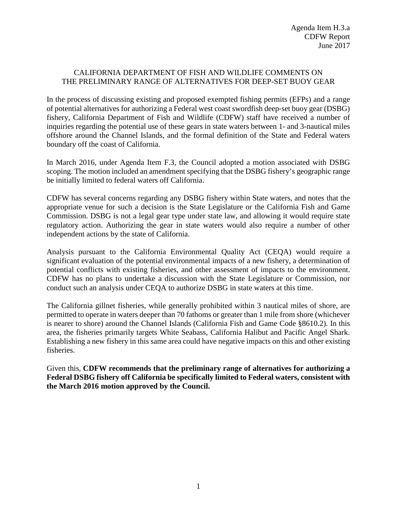## CALIFORNIA DEPARTMENT OF FISH AND WILDLIFE COMMENTS ON THE PRELIMINARY RANGE OF ALTERNATIVES FOR DEEP-SET BUOY GEAR

In the process of discussing existing and proposed exempted fishing permits (EFPs) and a range of potential alternatives for authorizing a Federal west coast swordfish deep‐set buoy gear (DSBG) fishery, California Department of Fish and Wildlife (CDFW) staff have received a number of inquiries regarding the potential use of these gears in state waters between 1- and 3-nautical miles offshore around the Channel Islands, and the formal definition of the State and Federal waters boundary off the coast of California.

In March 2016, under Agenda Item F.3, the Council adopted a motion associated with DSBG scoping. The motion included an amendment specifying that the DSBG fishery's geographic range be initially limited to federal waters off California.

CDFW has several concerns regarding any DSBG fishery within State waters, and notes that the appropriate venue for such a decision is the State Legislature or the California Fish and Game Commission. DSBG is not a legal gear type under state law, and allowing it would require state regulatory action. Authorizing the gear in state waters would also require a number of other independent actions by the state of California.

Analysis pursuant to the California Environmental Quality Act (CEQA) would require a significant evaluation of the potential environmental impacts of a new fishery, a determination of potential conflicts with existing fisheries, and other assessment of impacts to the environment. CDFW has no plans to undertake a discussion with the State Legislature or Commission, nor conduct such an analysis under CEQA to authorize DSBG in state waters at this time.

The California gillnet fisheries, while generally prohibited within 3 nautical miles of shore, are permitted to operate in waters deeper than 70 fathoms or greater than 1 mile from shore (whichever is nearer to shore) around the Channel Islands (California Fish and Game Code §8610.2). In this area, the fisheries primarily targets White Seabass, California Halibut and Pacific Angel Shark. Establishing a new fishery in this same area could have negative impacts on this and other existing fisheries.

Given this, **CDFW recommends that the preliminary range of alternatives for authorizing a Federal DSBG fishery off California be specifically limited to Federal waters, consistent with the March 2016 motion approved by the Council.**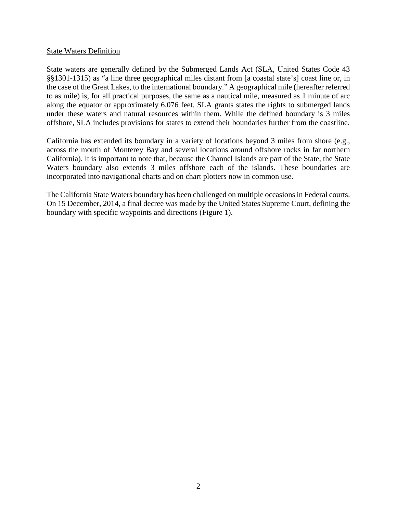## State Waters Definition

State waters are generally defined by the Submerged Lands Act (SLA, United States Code 43 §§1301-1315) as "a line three geographical miles distant from [a coastal state's] coast line or, in the case of the Great Lakes, to the international boundary." A geographical mile (hereafter referred to as mile) is, for all practical purposes, the same as a nautical mile, measured as 1 minute of arc along the equator or approximately 6,076 feet. SLA grants states the rights to submerged lands under these waters and natural resources within them. While the defined boundary is 3 miles offshore, SLA includes provisions for states to extend their boundaries further from the coastline.

California has extended its boundary in a variety of locations beyond 3 miles from shore (e.g., across the mouth of Monterey Bay and several locations around offshore rocks in far northern California). It is important to note that, because the Channel Islands are part of the State, the State Waters boundary also extends 3 miles offshore each of the islands. These boundaries are incorporated into navigational charts and on chart plotters now in common use.

The California State Waters boundary has been challenged on multiple occasions in Federal courts. On 15 December, 2014, a final decree was made by the United States Supreme Court, defining the boundary with specific waypoints and directions (Figure 1).